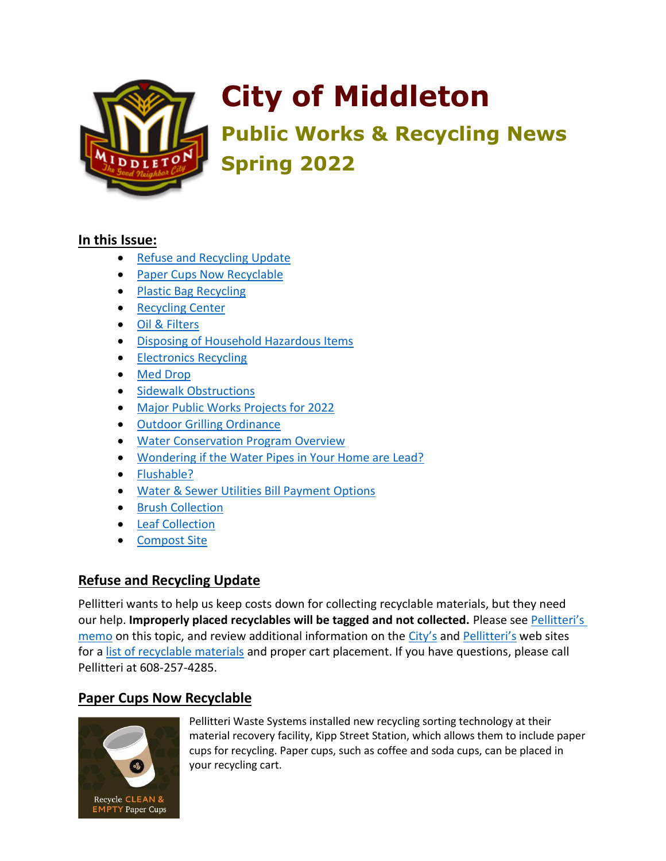

# **City of Middleton**

**Public Works & Recycling News Spring 2022**

#### **In this Issue:**

- [Refuse and Recycling Update](#page-0-0)
- [Paper Cups Now Recyclable](#page-0-1)
- [Plastic Bag Recycling](#page-1-0)
- [Recycling Center](#page-1-1)
- [Oil & Filters](#page-1-2)
- [Disposing of Household Hazardous Items](#page-1-3)
- **[Electronics Recycling](#page-2-0)**
- [Med Drop](#page-2-1)
- [Sidewalk Obstructions](#page-2-2)
- [Major Public Works Projects for 2022](#page-3-0)
- [Outdoor Grilling Ordinance](#page-3-1)
- [Water Conservation Program Overview](#page-3-2)
- [Wondering if the Water Pipes in Your Home are Lead?](#page-3-3)
- [Flushable?](#page-4-0)
- [Water & Sewer Utilities Bill Payment Options](#page-4-1)
- [Brush Collection](#page-4-2)
- [Leaf Collection](#page-5-0)
- <span id="page-0-0"></span>**[Compost Site](#page-5-0)**

## **Refuse and Recycling Update**

Pellitteri wants to help us keep costs down for collecting recyclable materials, but they need our help. **Improperly placed recyclables will be tagged and not collected.** Please see [Pellitteri's](https://wi-middleton2.civicplus.com/DocumentCenter/View/6142/Notice--Properly-Preparing-Additional-Recyclables-2019)  [memo](https://wi-middleton2.civicplus.com/DocumentCenter/View/6142/Notice--Properly-Preparing-Additional-Recyclables-2019) on this topic, and review additional information on the [City's](https://cityofmiddleton.us/) and [Pellitteri's](https://www.pellitteri.com/pages/city-of-middleton) web sites for a [list of recyclable materials](https://www.pellitteri.com/pages/recycling-info-for-residential) and proper cart placement. If you have questions, please call Pellitteri at 608-257-4285.

# <span id="page-0-1"></span>**Paper Cups Now Recyclable**



Pellitteri Waste Systems installed new recycling sorting technology at their material recovery facility, Kipp Street Station, which allows them to include paper cups for recycling. Paper cups, such as coffee and soda cups, can be placed in your recycling cart.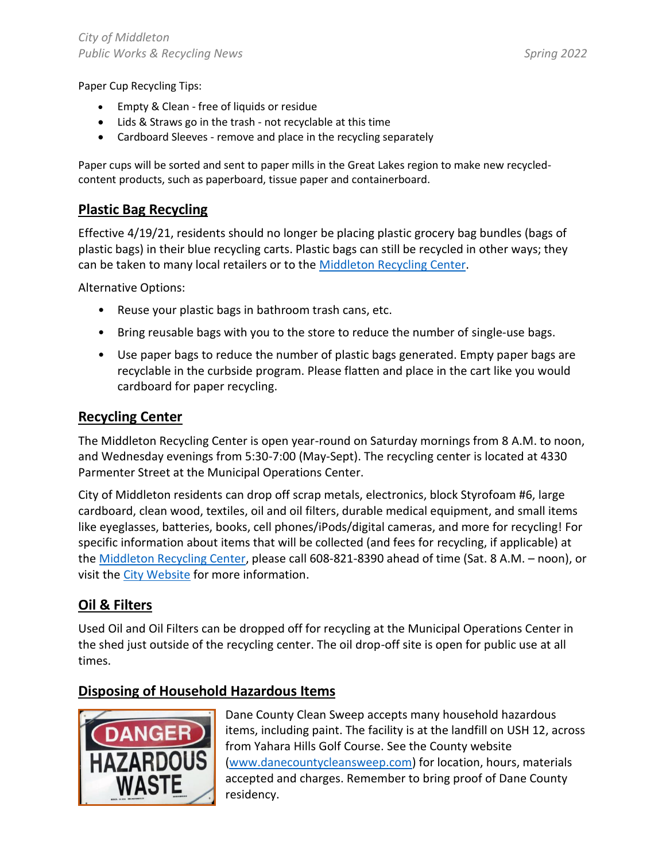Paper Cup Recycling Tips:

- Empty & Clean free of liquids or residue
- Lids & Straws go in the trash not recyclable at this time
- Cardboard Sleeves remove and place in the recycling separately

Paper cups will be sorted and sent to paper mills in the Great Lakes region to make new recycledcontent products, such as paperboard, tissue paper and containerboard.

#### <span id="page-1-0"></span>**Plastic Bag Recycling**

Effective 4/19/21, residents should no longer be placing plastic grocery bag bundles (bags of plastic bags) in their blue recycling carts. Plastic bags can still be recycled in other ways; they can be taken to many local retailers or to the [Middleton Recycling Center.](https://cityofmiddleton.us/recyclingcenter)

Alternative Options:

- Reuse your plastic bags in bathroom trash cans, etc.
- Bring reusable bags with you to the store to reduce the number of single-use bags.
- Use paper bags to reduce the number of plastic bags generated. Empty paper bags are recyclable in the curbside program. Please flatten and place in the cart like you would cardboard for paper recycling.

#### <span id="page-1-1"></span>**Recycling Center**

The Middleton Recycling Center is open year-round on Saturday mornings from 8 A.M. to noon, and Wednesday evenings from 5:30-7:00 (May-Sept). The recycling center is located at 4330 Parmenter Street at the Municipal Operations Center.

City of Middleton residents can drop off scrap metals, electronics, block Styrofoam #6, large cardboard, clean wood, textiles, oil and oil filters, durable medical equipment, and small items like eyeglasses, batteries, books, cell phones/iPods/digital cameras, and more for recycling! For specific information about items that will be collected (and fees for recycling, if applicable) at the [Middleton Recycling Center,](https://cityofmiddleton.us/recyclingcenter) please call 608-821-8390 ahead of time (Sat. 8 A.M. – noon), or visit the [City Website](https://cityofmiddleton.us/) for more information.

#### <span id="page-1-2"></span>**Oil & Filters**

Used Oil and Oil Filters can be dropped off for recycling at the Municipal Operations Center in the shed just outside of the recycling center. The oil drop-off site is open for public use at all times.

#### <span id="page-1-3"></span>**Disposing of Household Hazardous Items**



Dane County Clean Sweep accepts many household hazardous items, including paint. The facility is at the landfill on USH 12, across from Yahara Hills Golf Course. See the County website [\(www.danecountycleansweep.com\)](http://www.danecountycleansweep.com/) for location, hours, materials accepted and charges. Remember to bring proof of Dane County residency.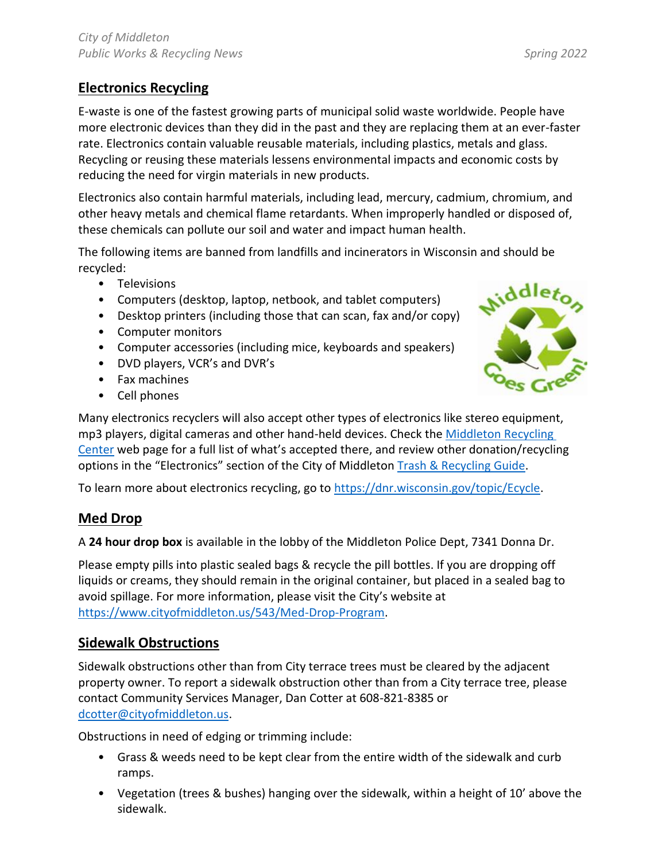# <span id="page-2-0"></span>**Electronics Recycling**

E-waste is one of the fastest growing parts of municipal solid waste worldwide. People have more electronic devices than they did in the past and they are replacing them at an ever-faster rate. Electronics contain valuable reusable materials, including plastics, metals and glass. Recycling or reusing these materials lessens environmental impacts and economic costs by reducing the need for virgin materials in new products.

Electronics also contain harmful materials, including lead, mercury, cadmium, chromium, and other heavy metals and chemical flame retardants. When improperly handled or disposed of, these chemicals can pollute our soil and water and impact human health.

The following items are banned from landfills and incinerators in Wisconsin and should be recycled:

- Televisions
- Computers (desktop, laptop, netbook, and tablet computers)
- Desktop printers (including those that can scan, fax and/or copy)
- Computer monitors
- Computer accessories (including mice, keyboards and speakers)
- DVD players, VCR's and DVR's
- Fax machines
- Cell phones



Many electronics recyclers will also accept other types of electronics like stereo equipment, mp3 players, digital cameras and other hand-held devices. Check th[e Middleton Recycling](https://www.cityofmiddleton.us/420/Recycling-Center)  [Center](https://www.cityofmiddleton.us/420/Recycling-Center) web page for a full list of what's accepted there, and review other donation/recycling options in the "Electronics" section of the City of Middleton [Trash & Recycling Guide.](http://www.cityofmiddleton.us/DocumentCenter/View/8)

To learn more about electronics recycling, go to [https://dnr.wisconsin.gov/topic/Ecycle.](https://dnr.wisconsin.gov/topic/Ecycle)

## <span id="page-2-1"></span>**Med Drop**

A **24 hour drop box** is available in the lobby of the Middleton Police Dept, 7341 Donna Dr.

Please empty pills into plastic sealed bags & recycle the pill bottles. If you are dropping off liquids or creams, they should remain in the original container, but placed in a sealed bag to avoid spillage. For more information, please visit the City's website at [https://www.cityofmiddleton.us/543/Med-Drop-Program.](https://www.cityofmiddleton.us/543/Med-Drop-Program)

#### <span id="page-2-2"></span>**Sidewalk Obstructions**

Sidewalk obstructions other than from City terrace trees must be cleared by the adjacent property owner. To report a sidewalk obstruction other than from a City terrace tree, please contact Community Services Manager, Dan Cotter at 608-821-8385 or [dcotter@cityofmiddleton.us.](mailto:dcotter@cityofmiddleton.us)

Obstructions in need of edging or trimming include:

- Grass & weeds need to be kept clear from the entire width of the sidewalk and curb ramps.
- Vegetation (trees & bushes) hanging over the sidewalk, within a height of 10' above the sidewalk.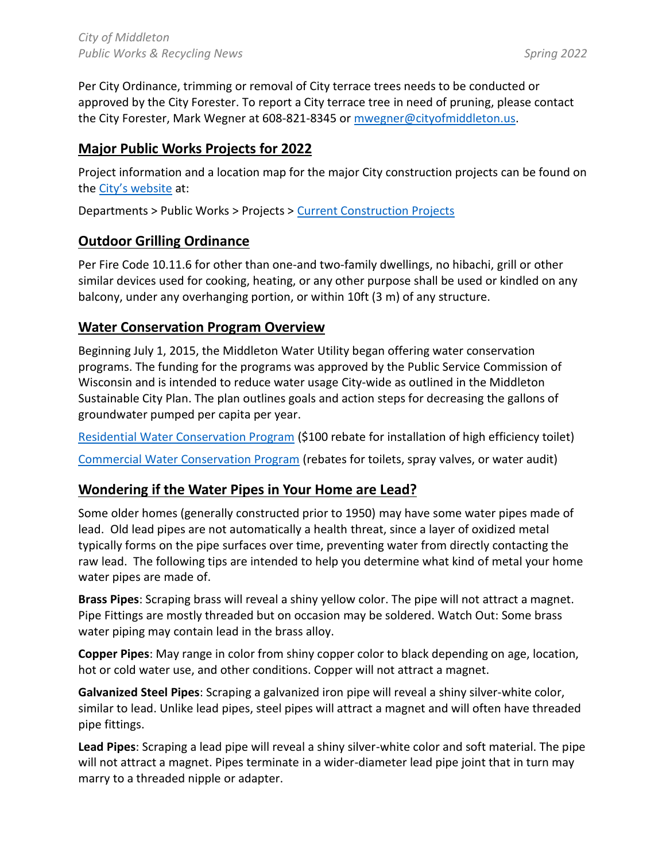Per City Ordinance, trimming or removal of City terrace trees needs to be conducted or approved by the City Forester. To report a City terrace tree in need of pruning, please contact the City Forester, Mark Wegner at 608-821-8345 or [mwegner@cityofmiddleton.us.](mailto:mwegner@ci.middleton.wi.us.)

## <span id="page-3-0"></span>**Major Public Works Projects for 2022**

Project information and a location map for the major City construction projects can be found on the [City's website](https://cityofmiddleton.us/) at:

<span id="page-3-1"></span>Departments > Public Works > Projects > [Current Construction Projects](https://www.cityofmiddleton.us/361/Current-Construction-Projects)

#### **Outdoor Grilling Ordinance**

Per Fire Code 10.11.6 for other than one-and two-family dwellings, no hibachi, grill or other similar devices used for cooking, heating, or any other purpose shall be used or kindled on any balcony, under any overhanging portion, or within 10ft (3 m) of any structure.

#### <span id="page-3-2"></span>**Water Conservation Program Overview**

Beginning July 1, 2015, the Middleton Water Utility began offering water conservation programs. The funding for the programs was approved by the Public Service Commission of Wisconsin and is intended to reduce water usage City-wide as outlined in the Middleton Sustainable City Plan. The plan outlines goals and action steps for decreasing the gallons of groundwater pumped per capita per year.

[Residential Water Conservation Program](http://www.ci.middleton.wi.us/370/Residential-Water-Conservation-Program) (\$100 rebate for installation of high efficiency toilet)

<span id="page-3-3"></span>[Commercial Water Conservation Program](http://www.ci.middleton.wi.us/371/Commercial-Water-Conservation-Program) (rebates for toilets, spray valves, or water audit)

#### **Wondering if the Water Pipes in Your Home are Lead?**

Some older homes (generally constructed prior to 1950) may have some water pipes made of lead. Old lead pipes are not automatically a health threat, since a layer of oxidized metal typically forms on the pipe surfaces over time, preventing water from directly contacting the raw lead. The following tips are intended to help you determine what kind of metal your home water pipes are made of.

**Brass Pipes**: Scraping brass will reveal a shiny yellow color. The pipe will not attract a magnet. Pipe Fittings are mostly threaded but on occasion may be soldered. Watch Out: Some brass water piping may contain lead in the brass alloy.

**Copper Pipes**: May range in color from shiny copper color to black depending on age, location, hot or cold water use, and other conditions. Copper will not attract a magnet.

**Galvanized Steel Pipes**: Scraping a galvanized iron pipe will reveal a shiny silver-white color, similar to lead. Unlike lead pipes, steel pipes will attract a magnet and will often have threaded pipe fittings.

**Lead Pipes**: Scraping a lead pipe will reveal a shiny silver-white color and soft material. The pipe will not attract a magnet. Pipes terminate in a wider-diameter lead pipe joint that in turn may marry to a threaded nipple or adapter.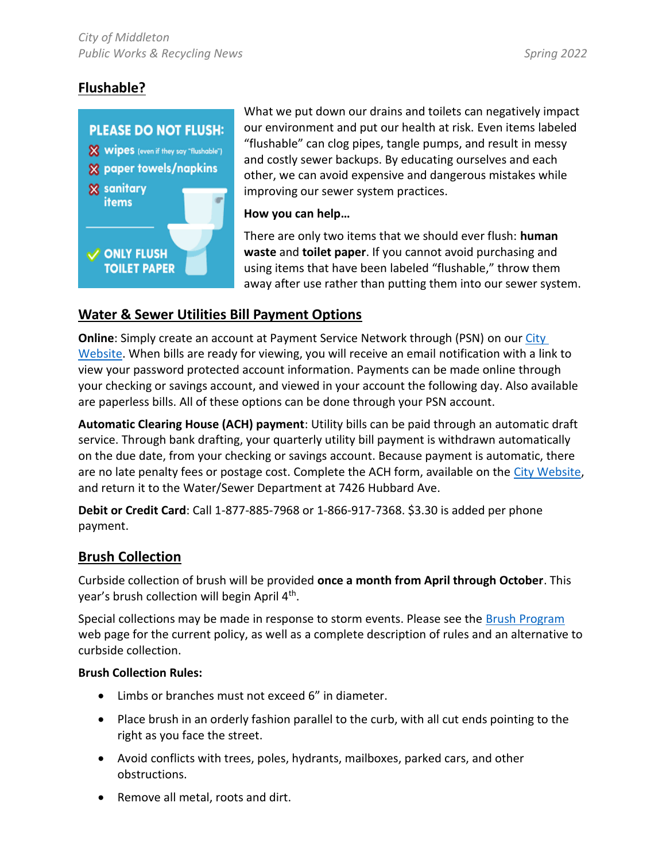## <span id="page-4-0"></span>**Flushable?**



What we put down our drains and toilets can negatively impact our environment and put our health at risk. Even items labeled "flushable" can clog pipes, tangle pumps, and result in messy and costly sewer backups. By educating ourselves and each other, we can avoid expensive and dangerous mistakes while improving our sewer system practices.

#### **How you can help…**

There are only two items that we should ever flush: **human waste** and **toilet paper**. If you cannot avoid purchasing and using items that have been labeled "flushable," throw them away after use rather than putting them into our sewer system.

#### <span id="page-4-1"></span>**Water & Sewer Utilities Bill Payment Options**

**Online**: Simply create an account at Payment Service Network through (PSN) on our [City](https://cityofmiddleton.us/194/Pay-a-Bill)  [Website.](https://cityofmiddleton.us/194/Pay-a-Bill) When bills are ready for viewing, you will receive an email notification with a link to view your password protected account information. Payments can be made online through your checking or savings account, and viewed in your account the following day. Also available are paperless bills. All of these options can be done through your PSN account.

**Automatic Clearing House (ACH) payment**: Utility bills can be paid through an automatic draft service. Through bank drafting, your quarterly utility bill payment is withdrawn automatically on the due date, from your checking or savings account. Because payment is automatic, there are no late penalty fees or postage cost. Complete the ACH form, available on the [City Website,](https://cityofmiddleton.us/194/Pay-a-Bill) and return it to the Water/Sewer Department at 7426 Hubbard Ave.

**Debit or Credit Card**: Call 1-877-885-7968 or 1-866-917-7368. \$3.30 is added per phone payment.

#### <span id="page-4-2"></span>**Brush Collection**

Curbside collection of brush will be provided **once a month from April through October**. This year's brush collection will begin April 4<sup>th</sup>.

Special collections may be made in response to storm events. Please see the [Brush Program](https://www.cityofmiddleton.us/359/Brush) web page for the current policy, as well as a complete description of rules and an alternative to curbside collection.

#### **Brush Collection Rules:**

- Limbs or branches must not exceed 6" in diameter.
- Place brush in an orderly fashion parallel to the curb, with all cut ends pointing to the right as you face the street.
- Avoid conflicts with trees, poles, hydrants, mailboxes, parked cars, and other obstructions.
- Remove all metal, roots and dirt.